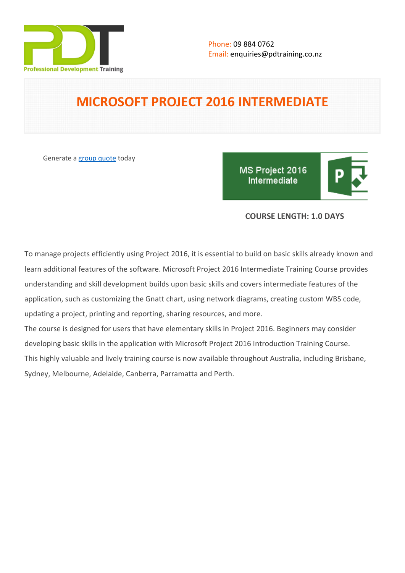

# **MICROSOFT PROJECT 2016 INTERMEDIATE**

Generate a [group quote](https://pdtraining.co.nz/inhouse-training-quote?cse=PDT99159_C) today

MS Project 2016 **Intermediate** 



# **COURSE LENGTH: 1.0 DAYS**

To manage projects efficiently using Project 2016, it is essential to build on basic skills already known and learn additional features of the software. Microsoft Project 2016 Intermediate Training Course provides understanding and skill development builds upon basic skills and covers intermediate features of the application, such as customizing the Gnatt chart, using network diagrams, creating custom WBS code, updating a project, printing and reporting, sharing resources, and more.

The course is designed for users that have elementary skills in Project 2016. Beginners may consider developing basic skills in the application with Microsoft Project 2016 Introduction Training Course. This highly valuable and lively training course is now available throughout Australia, including Brisbane, Sydney, Melbourne, Adelaide, Canberra, Parramatta and Perth.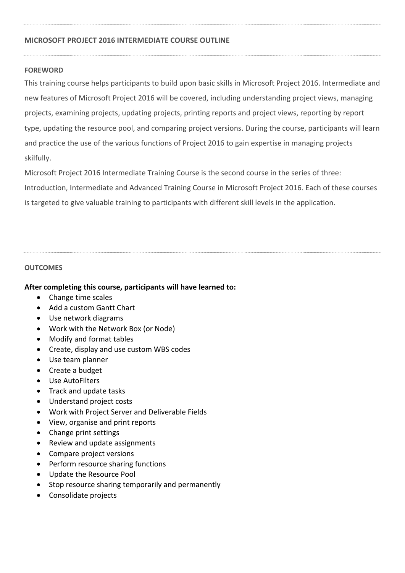## **MICROSOFT PROJECT 2016 INTERMEDIATE COURSE OUTLINE**

## **FOREWORD**

This training course helps participants to build upon basic skills in Microsoft Project 2016. Intermediate and new features of Microsoft Project 2016 will be covered, including understanding project views, managing projects, examining projects, updating projects, printing reports and project views, reporting by report type, updating the resource pool, and comparing project versions. During the course, participants will learn and practice the use of the various functions of Project 2016 to gain expertise in managing projects skilfully.

Microsoft Project 2016 Intermediate Training Course is the second course in the series of three: Introduction, Intermediate and Advanced Training Course in Microsoft Project 2016. Each of these courses is targeted to give valuable training to participants with different skill levels in the application.

## **OUTCOMES**

## **After completing this course, participants will have learned to:**

- Change time scales
- Add a custom Gantt Chart
- Use network diagrams
- Work with the Network Box (or Node)
- Modify and format tables
- Create, display and use custom WBS codes
- Use team planner
- Create a budget
- Use AutoFilters
- Track and update tasks
- Understand project costs
- Work with Project Server and Deliverable Fields
- View, organise and print reports
- Change print settings
- Review and update assignments
- Compare project versions
- Perform resource sharing functions
- Update the Resource Pool
- Stop resource sharing temporarily and permanently
- Consolidate projects